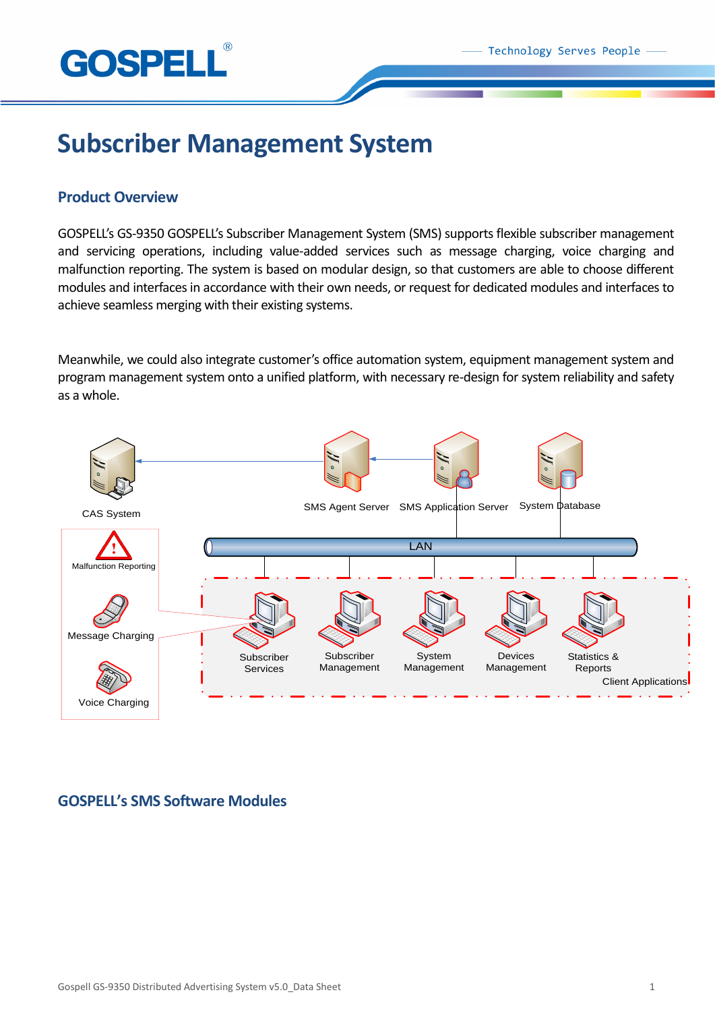

# **Subscriber Management System**

# **Product Overview**

GOSPELL's GS-9350 GOSPELL's Subscriber Management System (SMS) supports flexible subscriber management and servicing operations, including value-added services such as message charging, voice charging and malfunction reporting. The system is based on modular design, so that customers are able to choose different modules and interfaces in accordance with their own needs, or request for dedicated modules and interfaces to achieve seamless merging with their existing systems.

Meanwhile, we could also integrate customer's office automation system, equipment management system and program management system onto a unified platform, with necessary re-design for system reliability and safety as a whole.



# **GOSPELL's SMS Software Modules**